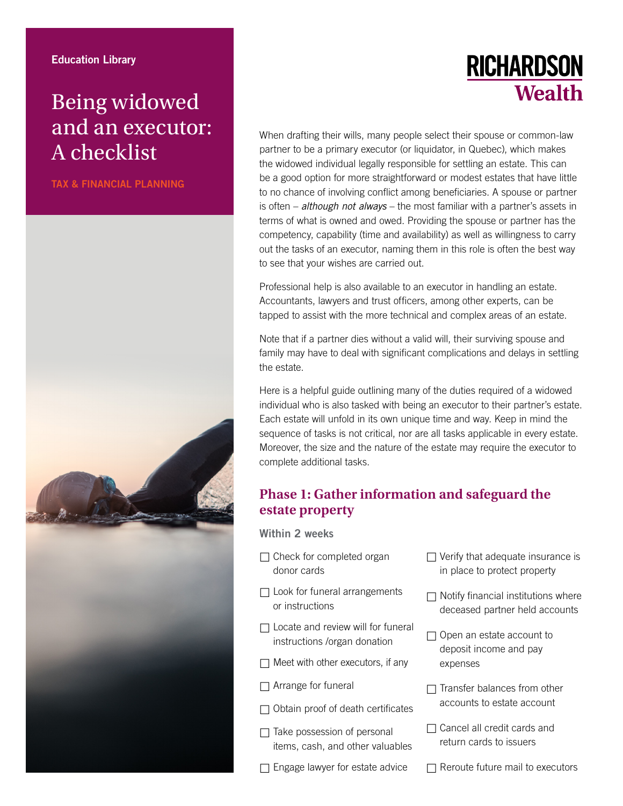# Being widowed and an executor: A checklist

TAX & FINANCIAL PLANNING



**RICHARDSON Wealth** 

When drafting their wills, many people select their spouse or common-law partner to be a primary executor (or liquidator, in Quebec), which makes the widowed individual legally responsible for settling an estate. This can be a good option for more straightforward or modest estates that have little to no chance of involving conflict among beneficiaries. A spouse or partner is often – *although not always* – the most familiar with a partner's assets in terms of what is owned and owed. Providing the spouse or partner has the competency, capability (time and availability) as well as willingness to carry out the tasks of an executor, naming them in this role is often the best way to see that your wishes are carried out.

Professional help is also available to an executor in handling an estate. Accountants, lawyers and trust officers, among other experts, can be tapped to assist with the more technical and complex areas of an estate.

Note that if a partner dies without a valid will, their surviving spouse and family may have to deal with significant complications and delays in settling the estate.

Here is a helpful guide outlining many of the duties required of a widowed individual who is also tasked with being an executor to their partner's estate. Each estate will unfold in its own unique time and way. Keep in mind the sequence of tasks is not critical, nor are all tasks applicable in every estate. Moreover, the size and the nature of the estate may require the executor to complete additional tasks.

## **Phase 1: Gather information and safeguard the estate property**

Within 2 weeks

- $\Box$  Check for completed organ donor cards
- $\Box$  Look for funeral arrangements or instructions
- $\Box$  Locate and review will for funeral instructions /organ donation
- $\Box$  Meet with other executors, if any
- □ Arrange for funeral
- $\Box$  Obtain proof of death certificates
- □ Take possession of personal items, cash, and other valuables
- $\Box$  Engage lawyer for estate advice
- $\Box$  Verify that adequate insurance is in place to protect property
- $\Box$  Notify financial institutions where deceased partner held accounts
- □ Open an estate account to deposit income and pay expenses
- $\Box$  Transfer balances from other accounts to estate account
- □ Cancel all credit cards and return cards to issuers
- $\Box$  Reroute future mail to executors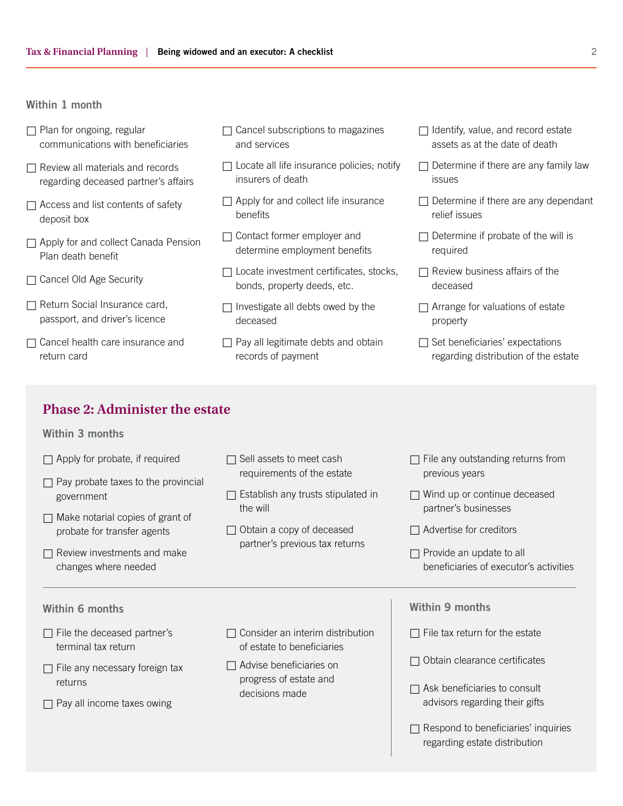#### Within 1 month

- $\Box$  Plan for ongoing, regular communications with beneficiaries
- $\Box$  Review all materials and records regarding deceased partner's affairs
- $\Box$  Access and list contents of safety deposit box
- □ Apply for and collect Canada Pension Plan death benefit
- □ Cancel Old Age Security
- Return Social Insurance card, passport, and driver's licence
- $\Box$  Cancel health care insurance and return card
- $\Box$  Cancel subscriptions to magazines and services
- $\Box$  Locate all life insurance policies; notify insurers of death
- $\Box$  Apply for and collect life insurance benefits
- □ Contact former employer and determine employment benefits
- $\Box$  Locate investment certificates, stocks, bonds, property deeds, etc.
- $\Box$  Investigate all debts owed by the deceased
- $\Box$  Pay all legitimate debts and obtain records of payment
- $\Box$  Identify, value, and record estate assets as at the date of death
- $\Box$  Determine if there are any family law issues
- $\Box$  Determine if there are any dependant relief issues
- $\Box$  Determine if probate of the will is required
- $\Box$  Review business affairs of the deceased
- $\Box$  Arrange for valuations of estate property
- $\Box$  Set beneficiaries' expectations regarding distribution of the estate

## **Phase 2: Administer the estate**

#### Within 3 months

- $\Box$  Apply for probate, if required
- $\Box$  Pay probate taxes to the provincial government
- $\Box$  Make notarial copies of grant of probate for transfer agents
- $\Box$  Review investments and make changes where needed

 $\Box$  File the deceased partner's terminal tax return

 $\Box$  File any necessary foreign tax

 $\Box$  Pay all income taxes owing

returns

- $\Box$  Sell assets to meet cash requirements of the estate
- $\Box$  Establish any trusts stipulated in the will
- $\Box$  Obtain a copy of deceased partner's previous tax returns

 $\Box$  Consider an interim distribution of estate to beneficiaries

 $\Box$  Advise beneficiaries on progress of estate and decisions made

- $\Box$  File any outstanding returns from previous years
- $\Box$  Wind up or continue deceased partner's businesses
- $\Box$  Advertise for creditors
- $\Box$  Provide an update to all beneficiaries of executor's activities

### Within 6 months **Within 9 months** Within 9 months

- $\Box$  File tax return for the estate
- $\Box$  Obtain clearance certificates
- $\Box$  Ask beneficiaries to consult advisors regarding their gifts
- $\Box$  Respond to beneficiaries' inquiries regarding estate distribution